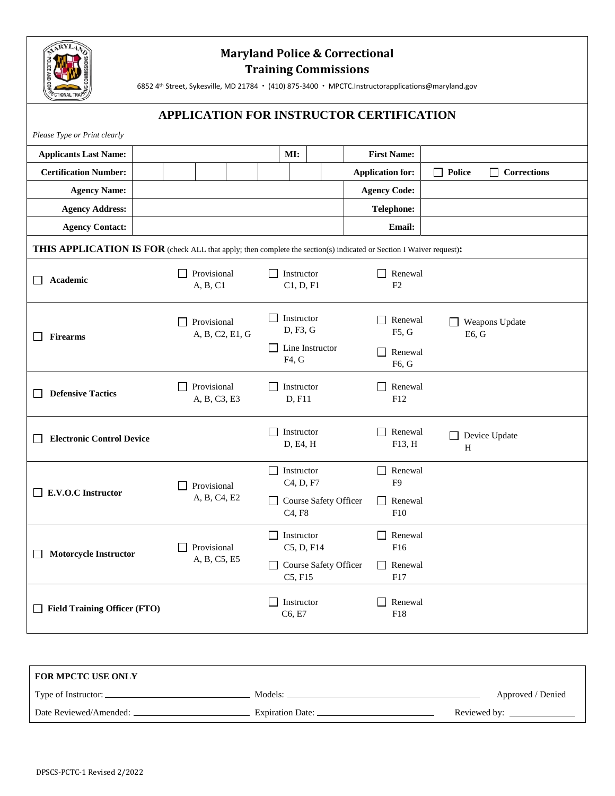

# **Maryland Police & Correctional Training Commissions**

6852 4<sup>th</sup> Street, Sykesville, MD 21784 · (410) 875-3400 · MPCTC.Instructorapplications@maryland.gov

## **APPLICATION FOR INSTRUCTOR CERTIFICATION**

| Please Type or Print clearly                        |                                                                                                                            |                                                          |                                |                                     |  |
|-----------------------------------------------------|----------------------------------------------------------------------------------------------------------------------------|----------------------------------------------------------|--------------------------------|-------------------------------------|--|
| <b>Applicants Last Name:</b>                        |                                                                                                                            | MI:                                                      | <b>First Name:</b>             |                                     |  |
| <b>Certification Number:</b>                        |                                                                                                                            |                                                          | <b>Application for:</b>        | $\Box$ Police<br>$\Box$ Corrections |  |
| <b>Agency Name:</b>                                 |                                                                                                                            |                                                          | <b>Agency Code:</b>            |                                     |  |
| <b>Agency Address:</b>                              |                                                                                                                            |                                                          | <b>Telephone:</b>              |                                     |  |
| <b>Agency Contact:</b>                              |                                                                                                                            |                                                          | <b>Email:</b>                  |                                     |  |
|                                                     | <b>THIS APPLICATION IS FOR</b> (check ALL that apply; then complete the section(s) indicated or Section I Waiver request): |                                                          |                                |                                     |  |
| Academic<br>$\mathsf{L}$                            | $\Box$ Provisional<br>A, B, C1                                                                                             | $\Box$ Instructor<br>C1, D, F1                           | Renewal<br>$\perp$<br>F2       |                                     |  |
| <b>Firearms</b><br>$\sim$                           | Provisional<br>A, B, C2, E1, G                                                                                             | Instructor<br>D, F3, G                                   | Renewal<br>$\Box$<br>F5, G     | Weapons Update<br>E6, G             |  |
|                                                     |                                                                                                                            | $\Box$ Line Instructor<br>F4, G                          | Renewal<br>П<br>F6, G          |                                     |  |
| <b>Defensive Tactics</b>                            | Provisional<br>A, B, C3, E3                                                                                                | Instructor<br>D, F11                                     | Renewal<br>$\Box$<br>F12       |                                     |  |
| <b>Electronic Control Device</b>                    |                                                                                                                            | Instructor<br>D, E4, H                                   | Renewal<br>$\Box$<br>F13, H    | Device Update<br>H                  |  |
| E.V.O.C Instructor<br>$\mathsf{L}$                  | Provisional<br>A, B, C4, E2                                                                                                | Instructor<br>C <sub>4</sub> , D <sub>, F7</sub>         | П<br>Renewal<br>F <sub>9</sub> |                                     |  |
|                                                     |                                                                                                                            | Course Safety Officer<br>C <sub>4</sub> , F <sub>8</sub> | Renewal<br>$\Box$<br>F10       |                                     |  |
| <b>Motorcycle Instructor</b><br>L                   | Provisional                                                                                                                | Instructor<br>C5, D, F14                                 | П<br>Renewal<br>F16            |                                     |  |
|                                                     | A, B, C5, E5                                                                                                               | Course Safety Officer<br>C5, F15                         | Renewal<br>ΙI<br>F17           |                                     |  |
| <b>Field Training Officer (FTO)</b><br>$\mathbf{L}$ |                                                                                                                            | Instructor<br>C6, E7                                     | $\Box$<br>Renewal<br>F18       |                                     |  |

| <b>FOR MPCTC USE ONLY</b> |                    |                   |
|---------------------------|--------------------|-------------------|
| Type of Instructor: _     | Models:            | Approved / Denied |
| Date Reviewed/Amended:    | Expiration Date: _ | Reviewed by:      |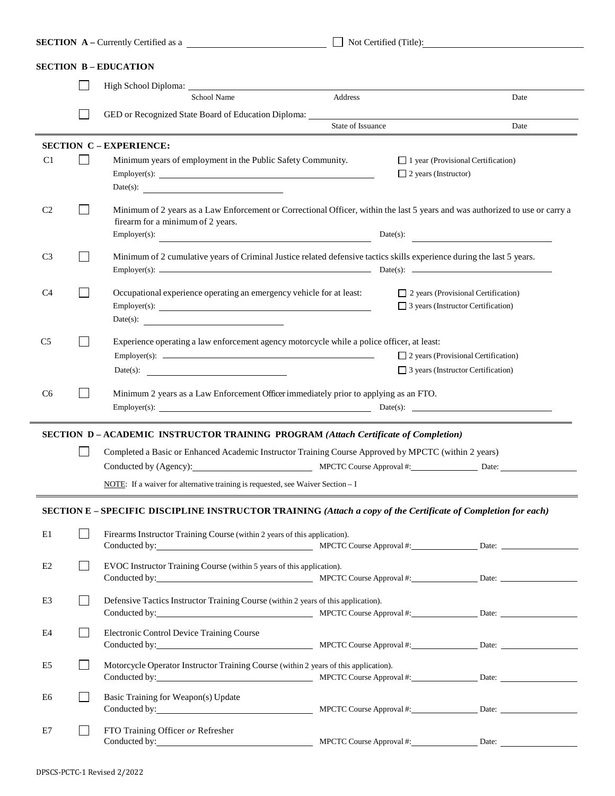|                | <b>SECTION</b> A – Currently Certified as a                                                                                                                               |                   | Not Certified (Title):                                                                                                                    |
|----------------|---------------------------------------------------------------------------------------------------------------------------------------------------------------------------|-------------------|-------------------------------------------------------------------------------------------------------------------------------------------|
|                | <b>SECTION B - EDUCATION</b>                                                                                                                                              |                   |                                                                                                                                           |
|                |                                                                                                                                                                           |                   |                                                                                                                                           |
|                | School Name                                                                                                                                                               | Address           | Date                                                                                                                                      |
|                | GED or Recognized State Board of Education Diploma: ____________________________                                                                                          | State of Issuance | Date                                                                                                                                      |
|                |                                                                                                                                                                           |                   |                                                                                                                                           |
| C <sub>1</sub> | <b>SECTION C - EXPERIENCE:</b><br>Minimum years of employment in the Public Safety Community.                                                                             |                   | $\Box$ 1 year (Provisional Certification)<br>$\Box$ 2 years (Instructor)                                                                  |
| C <sub>2</sub> | firearm for a minimum of 2 years.<br>Employer(s):<br><u> 1989 - Johann Barn, mars eta bainar eta bainar eta baina eta baina eta baina eta baina eta baina eta baina e</u> |                   | Minimum of 2 years as a Law Enforcement or Correctional Officer, within the last 5 years and was authorized to use or carry a<br>Date(s): |
| C <sub>3</sub> | Minimum of 2 cumulative years of Criminal Justice related defensive tactics skills experience during the last 5 years.                                                    |                   |                                                                                                                                           |
| C <sub>4</sub> | Occupational experience operating an emergency vehicle for at least:                                                                                                      |                   | $\Box$ 2 years (Provisional Certification)<br>$\Box$ 3 years (Instructor Certification)                                                   |
| C <sub>5</sub> | Experience operating a law enforcement agency motorcycle while a police officer, at least:<br>Date(s):                                                                    |                   | $\Box$ 2 years (Provisional Certification)<br>$\Box$ 3 years (Instructor Certification)                                                   |
| C <sub>6</sub> | Minimum 2 years as a Law Enforcement Officer immediately prior to applying as an FTO.                                                                                     |                   |                                                                                                                                           |
|                | SECTION D-ACADEMIC INSTRUCTOR TRAINING PROGRAM (Attach Certificate of Completion)                                                                                         |                   |                                                                                                                                           |
|                | Completed a Basic or Enhanced Academic Instructor Training Course Approved by MPCTC (within 2 years)                                                                      |                   |                                                                                                                                           |
|                | Conducted by (Agency): MPCTC Course Approval #: Date: Date:                                                                                                               |                   |                                                                                                                                           |
|                | NOTE: If a waiver for alternative training is requested, see Waiver Section $-1$                                                                                          |                   |                                                                                                                                           |
|                | SECTION E - SPECIFIC DISCIPLINE INSTRUCTOR TRAINING (Attach a copy of the Certificate of Completion for each)                                                             |                   |                                                                                                                                           |
| E1             | Firearms Instructor Training Course (within 2 years of this application).                                                                                                 |                   |                                                                                                                                           |
| E2             | EVOC Instructor Training Course (within 5 years of this application).                                                                                                     |                   |                                                                                                                                           |
| E <sub>3</sub> | Defensive Tactics Instructor Training Course (within 2 years of this application).                                                                                        |                   |                                                                                                                                           |
| E4             | Electronic Control Device Training Course                                                                                                                                 |                   |                                                                                                                                           |
| E <sub>5</sub> | Motorcycle Operator Instructor Training Course (within 2 years of this application).                                                                                      |                   |                                                                                                                                           |
| E6             | Basic Training for Weapon(s) Update                                                                                                                                       |                   |                                                                                                                                           |
| E7             | FTO Training Officer or Refresher<br>Conducted by: MPCTC Course Approval #: Date: Date:                                                                                   |                   |                                                                                                                                           |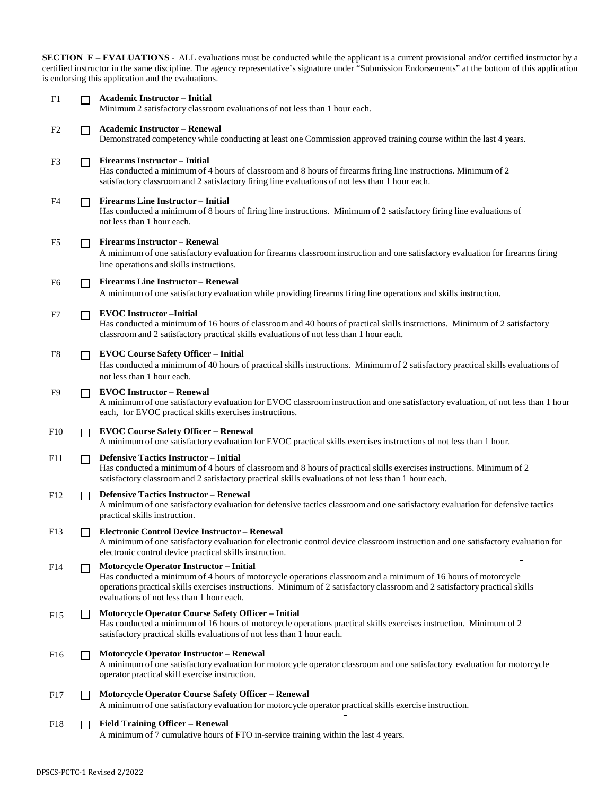**SECTION F – EVALUATIONS** - ALL evaluations must be conducted while the applicant is a current provisional and/or certified instructor by a certified instructor in the same discipline. The agency representative's signature under "Submission Endorsements" at the bottom of this application is endorsing this application and the evaluations.

| F1              | П            | <b>Academic Instructor - Initial</b><br>Minimum 2 satisfactory classroom evaluations of not less than 1 hour each.                                                                                                                                                                                                                           |
|-----------------|--------------|----------------------------------------------------------------------------------------------------------------------------------------------------------------------------------------------------------------------------------------------------------------------------------------------------------------------------------------------|
| F <sub>2</sub>  |              | <b>Academic Instructor - Renewal</b><br>Demonstrated competency while conducting at least one Commission approved training course within the last 4 years.                                                                                                                                                                                   |
| F3              |              | <b>Firearms Instructor - Initial</b><br>Has conducted a minimum of 4 hours of classroom and 8 hours of firearms firing line instructions. Minimum of 2<br>satisfactory classroom and 2 satisfactory firing line evaluations of not less than 1 hour each.                                                                                    |
| F4              | $\Box$       | <b>Firearms Line Instructor - Initial</b><br>Has conducted a minimum of 8 hours of firing line instructions. Minimum of 2 satisfactory firing line evaluations of<br>not less than 1 hour each.                                                                                                                                              |
| F5              | $\Box$       | <b>Firearms Instructor - Renewal</b><br>A minimum of one satisfactory evaluation for firearms classroom instruction and one satisfactory evaluation for firearms firing<br>line operations and skills instructions.                                                                                                                          |
| F6              | ΙI           | <b>Firearms Line Instructor - Renewal</b><br>A minimum of one satisfactory evaluation while providing firearms firing line operations and skills instruction.                                                                                                                                                                                |
| F7              | П            | <b>EVOC</b> Instructor - Initial<br>Has conducted a minimum of 16 hours of classroom and 40 hours of practical skills instructions. Minimum of 2 satisfactory<br>classroom and 2 satisfactory practical skills evaluations of not less than 1 hour each.                                                                                     |
| F8              | $\Box$       | <b>EVOC Course Safety Officer - Initial</b><br>Has conducted a minimum of 40 hours of practical skills instructions. Minimum of 2 satisfactory practical skills evaluations of<br>not less than 1 hour each.                                                                                                                                 |
| F9              |              | <b>EVOC Instructor - Renewal</b><br>A minimum of one satisfactory evaluation for EVOC classroom instruction and one satisfactory evaluation, of not less than 1 hour<br>each, for EVOC practical skills exercises instructions.                                                                                                              |
| F10             | $\Box$       | <b>EVOC Course Safety Officer - Renewal</b><br>A minimum of one satisfactory evaluation for EVOC practical skills exercises instructions of not less than 1 hour.                                                                                                                                                                            |
| F11             | $\mathsf{L}$ | <b>Defensive Tactics Instructor - Initial</b><br>Has conducted a minimum of 4 hours of classroom and 8 hours of practical skills exercises instructions. Minimum of 2<br>satisfactory classroom and 2 satisfactory practical skills evaluations of not less than 1 hour each.                                                                |
| F <sub>12</sub> | ΙI           | <b>Defensive Tactics Instructor - Renewal</b><br>A minimum of one satisfactory evaluation for defensive tactics classroom and one satisfactory evaluation for defensive tactics<br>practical skills instruction.                                                                                                                             |
| F <sub>13</sub> |              | <b>Electronic Control Device Instructor - Renewal</b><br>A minimum of one satisfactory evaluation for electronic control device classroom instruction and one satisfactory evaluation for<br>electronic control device practical skills instruction.                                                                                         |
| F14             |              | <b>Motorcycle Operator Instructor - Initial</b><br>Has conducted a minimum of 4 hours of motorcycle operations classroom and a minimum of 16 hours of motorcycle<br>operations practical skills exercises instructions. Minimum of 2 satisfactory classroom and 2 satisfactory practical skills<br>evaluations of not less than 1 hour each. |
| F15             |              | <b>Motorcycle Operator Course Safety Officer - Initial</b><br>Has conducted a minimum of 16 hours of motorcycle operations practical skills exercises instruction. Minimum of 2<br>satisfactory practical skills evaluations of not less than 1 hour each.                                                                                   |
| F <sub>16</sub> |              | <b>Motorcycle Operator Instructor - Renewal</b><br>A minimum of one satisfactory evaluation for motorcycle operator classroom and one satisfactory evaluation for motorcycle<br>operator practical skill exercise instruction.                                                                                                               |
| F17             |              | <b>Motorcycle Operator Course Safety Officer - Renewal</b><br>A minimum of one satisfactory evaluation for motorcycle operator practical skills exercise instruction.                                                                                                                                                                        |
| F18             |              | <b>Field Training Officer - Renewal</b><br>A minimum of 7 cumulative hours of FTO in-service training within the last 4 years.                                                                                                                                                                                                               |